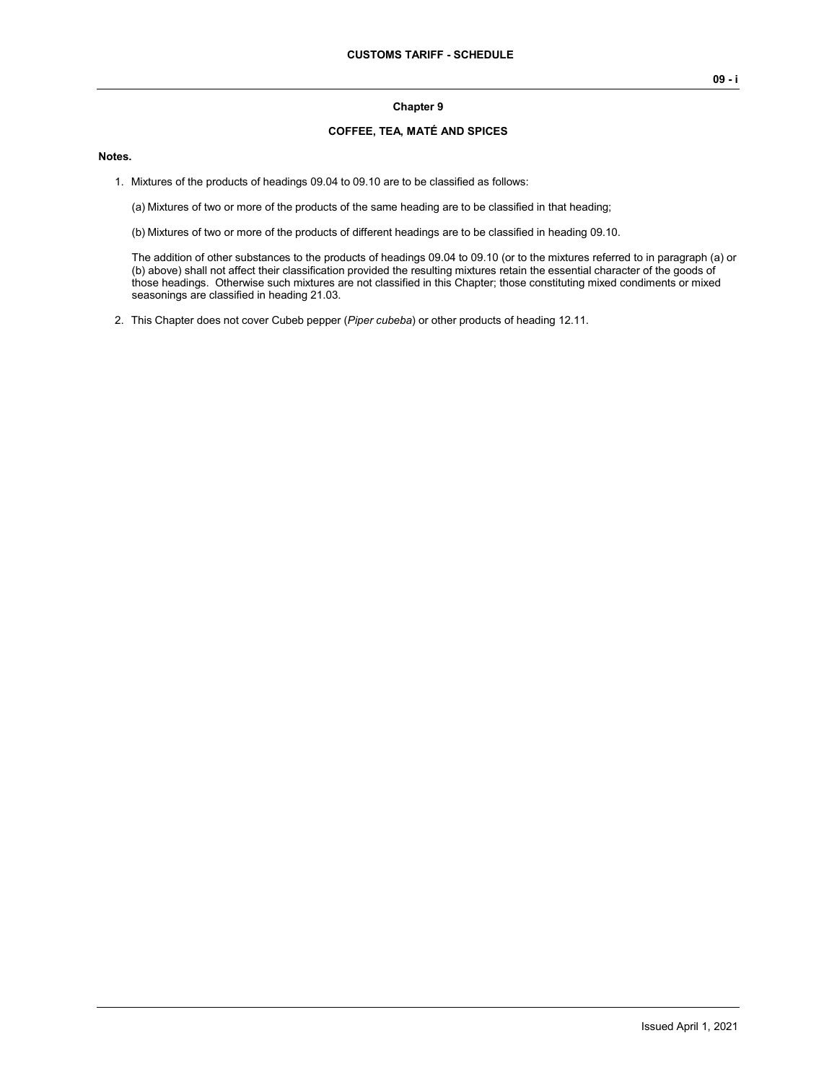## **Chapter 9**

## **COFFEE, TEA, MATÉ AND SPICES**

## **Notes.**

1. Mixtures of the products of headings 09.04 to 09.10 are to be classified as follows:

(a) Mixtures of two or more of the products of the same heading are to be classified in that heading;

(b) Mixtures of two or more of the products of different headings are to be classified in heading 09.10.

The addition of other substances to the products of headings 09.04 to 09.10 (or to the mixtures referred to in paragraph (a) or (b) above) shall not affect their classification provided the resulting mixtures retain the essential character of the goods of those headings. Otherwise such mixtures are not classified in this Chapter; those constituting mixed condiments or mixed seasonings are classified in heading 21.03.

2. This Chapter does not cover Cubeb pepper (*Piper cubeba*) or other products of heading 12.11.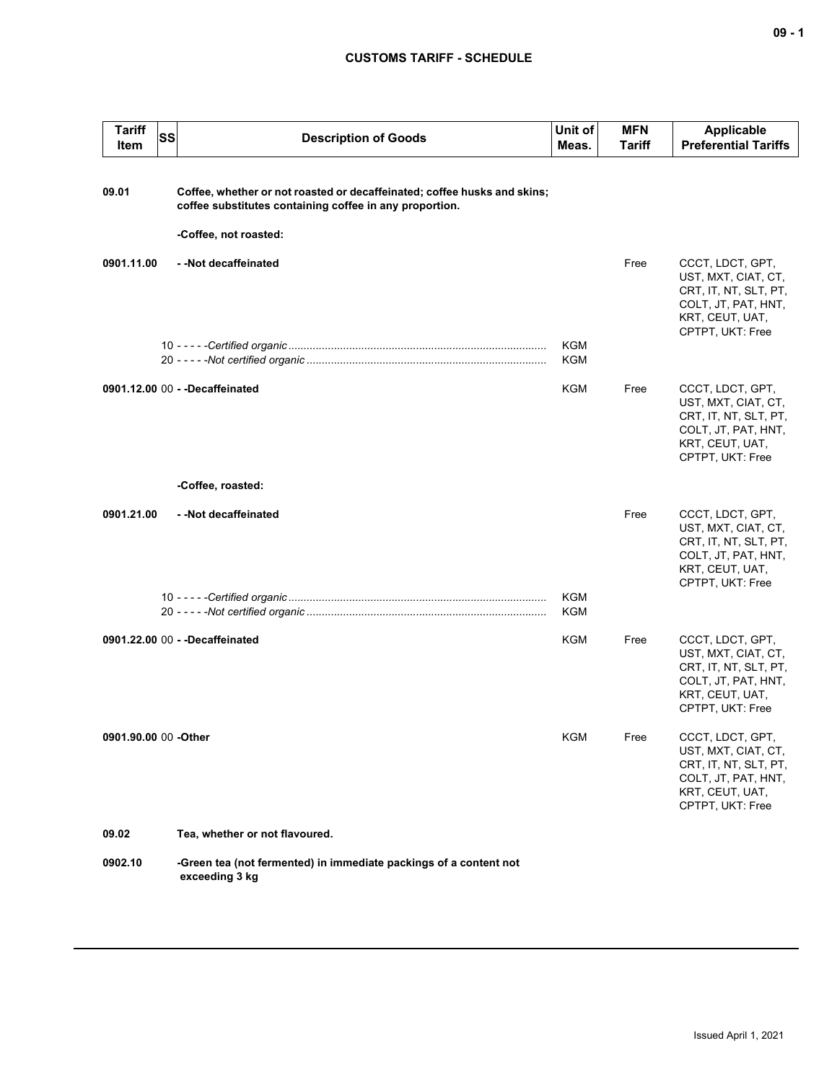## **CUSTOMS TARIFF - SCHEDULE**

| <b>Tariff</b><br>SS<br>Item | <b>Description of Goods</b>                                                                                                         | Unit of<br>Meas.  | <b>MFN</b><br>Tariff | <b>Applicable</b><br><b>Preferential Tariffs</b>                                                                               |
|-----------------------------|-------------------------------------------------------------------------------------------------------------------------------------|-------------------|----------------------|--------------------------------------------------------------------------------------------------------------------------------|
| 09.01                       | Coffee, whether or not roasted or decaffeinated; coffee husks and skins;<br>coffee substitutes containing coffee in any proportion. |                   |                      |                                                                                                                                |
| 0901.11.00                  | -Coffee, not roasted:<br>--Not decaffeinated                                                                                        |                   | Free                 | CCCT, LDCT, GPT,<br>UST, MXT, CIAT, CT,<br>CRT, IT, NT, SLT, PT,<br>COLT, JT, PAT, HNT,<br>KRT, CEUT, UAT,<br>CPTPT, UKT: Free |
|                             |                                                                                                                                     | KGM<br>KGM        |                      |                                                                                                                                |
|                             | 0901.12.00 00 - - Decaffeinated                                                                                                     | KGM               | Free                 | CCCT, LDCT, GPT,<br>UST, MXT, CIAT, CT,<br>CRT, IT, NT, SLT, PT,<br>COLT, JT, PAT, HNT,<br>KRT, CEUT, UAT,<br>CPTPT, UKT: Free |
|                             | -Coffee, roasted:                                                                                                                   |                   |                      |                                                                                                                                |
| 0901.21.00                  | --Not decaffeinated                                                                                                                 |                   | Free                 | CCCT, LDCT, GPT,<br>UST, MXT, CIAT, CT,<br>CRT, IT, NT, SLT, PT,<br>COLT, JT, PAT, HNT,<br>KRT, CEUT, UAT,<br>CPTPT, UKT: Free |
|                             |                                                                                                                                     | KGM<br><b>KGM</b> |                      |                                                                                                                                |
|                             | 0901.22.00 00 - - Decaffeinated                                                                                                     | KGM               | Free                 | CCCT, LDCT, GPT,<br>UST, MXT, CIAT, CT,<br>CRT, IT, NT, SLT, PT,<br>COLT, JT, PAT, HNT,<br>KRT, CEUT, UAT,<br>CPTPT, UKT: Free |
| 0901.90.00 00 -Other        |                                                                                                                                     | <b>KGM</b>        | Free                 | CCCT, LDCT, GPT,<br>UST, MXT, CIAT, CT,<br>CRT, IT, NT, SLT, PT,<br>COLT, JT, PAT, HNT,<br>KRT, CEUT, UAT,<br>CPTPT, UKT: Free |
| 09.02                       | Tea, whether or not flavoured.                                                                                                      |                   |                      |                                                                                                                                |
| 0902.10                     | -Green tea (not fermented) in immediate packings of a content not<br>exceeding 3 kg                                                 |                   |                      |                                                                                                                                |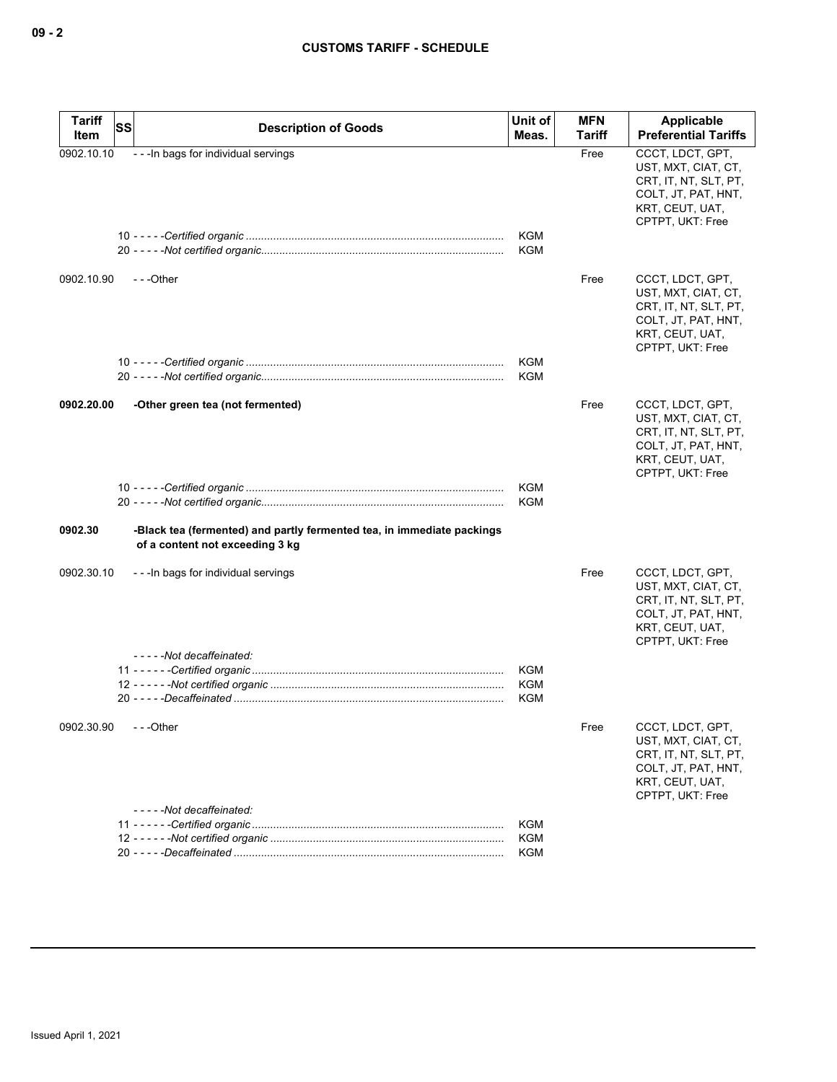| <b>Tariff</b><br>Item | SS | <b>Description of Goods</b>                                                                               | Unit of<br>Meas.         | <b>MFN</b><br>Tariff | Applicable<br><b>Preferential Tariffs</b>                                                                                      |
|-----------------------|----|-----------------------------------------------------------------------------------------------------------|--------------------------|----------------------|--------------------------------------------------------------------------------------------------------------------------------|
| 0902.10.10            |    | - - - In bags for individual servings                                                                     | <b>KGM</b><br><b>KGM</b> | Free                 | CCCT. LDCT. GPT.<br>UST, MXT, CIAT, CT,<br>CRT, IT, NT, SLT, PT,<br>COLT, JT, PAT, HNT,<br>KRT, CEUT, UAT,<br>CPTPT, UKT: Free |
| 0902.10.90            |    | ---Other                                                                                                  | <b>KGM</b><br><b>KGM</b> | Free                 | CCCT, LDCT, GPT,<br>UST, MXT, CIAT, CT,<br>CRT, IT, NT, SLT, PT,<br>COLT, JT, PAT, HNT,<br>KRT, CEUT, UAT,<br>CPTPT, UKT: Free |
|                       |    |                                                                                                           |                          |                      |                                                                                                                                |
| 0902.20.00            |    | -Other green tea (not fermented)                                                                          |                          | Free                 | CCCT, LDCT, GPT,<br>UST, MXT, CIAT, CT,<br>CRT, IT, NT, SLT, PT,<br>COLT, JT, PAT, HNT,<br>KRT, CEUT, UAT,<br>CPTPT, UKT: Free |
|                       |    |                                                                                                           | <b>KGM</b><br><b>KGM</b> |                      |                                                                                                                                |
|                       |    |                                                                                                           |                          |                      |                                                                                                                                |
| 0902.30               |    | -Black tea (fermented) and partly fermented tea, in immediate packings<br>of a content not exceeding 3 kg |                          |                      |                                                                                                                                |
| 0902.30.10            |    | - - - In bags for individual servings                                                                     |                          | Free                 | CCCT, LDCT, GPT,<br>UST, MXT, CIAT, CT,<br>CRT, IT, NT, SLT, PT,<br>COLT, JT, PAT, HNT,<br>KRT, CEUT, UAT,<br>CPTPT, UKT: Free |
|                       |    | -----Not decaffeinated:                                                                                   | <b>KGM</b>               |                      |                                                                                                                                |
|                       |    |                                                                                                           | <b>KGM</b>               |                      |                                                                                                                                |
|                       |    |                                                                                                           | <b>KGM</b>               |                      |                                                                                                                                |
| 0902.30.90            |    | - - -Other<br>-----Not decaffeinated:                                                                     |                          | Free                 | CCCT, LDCT, GPT,<br>UST, MXT, CIAT, CT,<br>CRT, IT, NT, SLT, PT,<br>COLT, JT, PAT, HNT,<br>KRT, CEUT, UAT,<br>CPTPT, UKT: Free |
|                       |    |                                                                                                           | KGM                      |                      |                                                                                                                                |
|                       |    |                                                                                                           | KGM                      |                      |                                                                                                                                |
|                       |    |                                                                                                           | <b>KGM</b>               |                      |                                                                                                                                |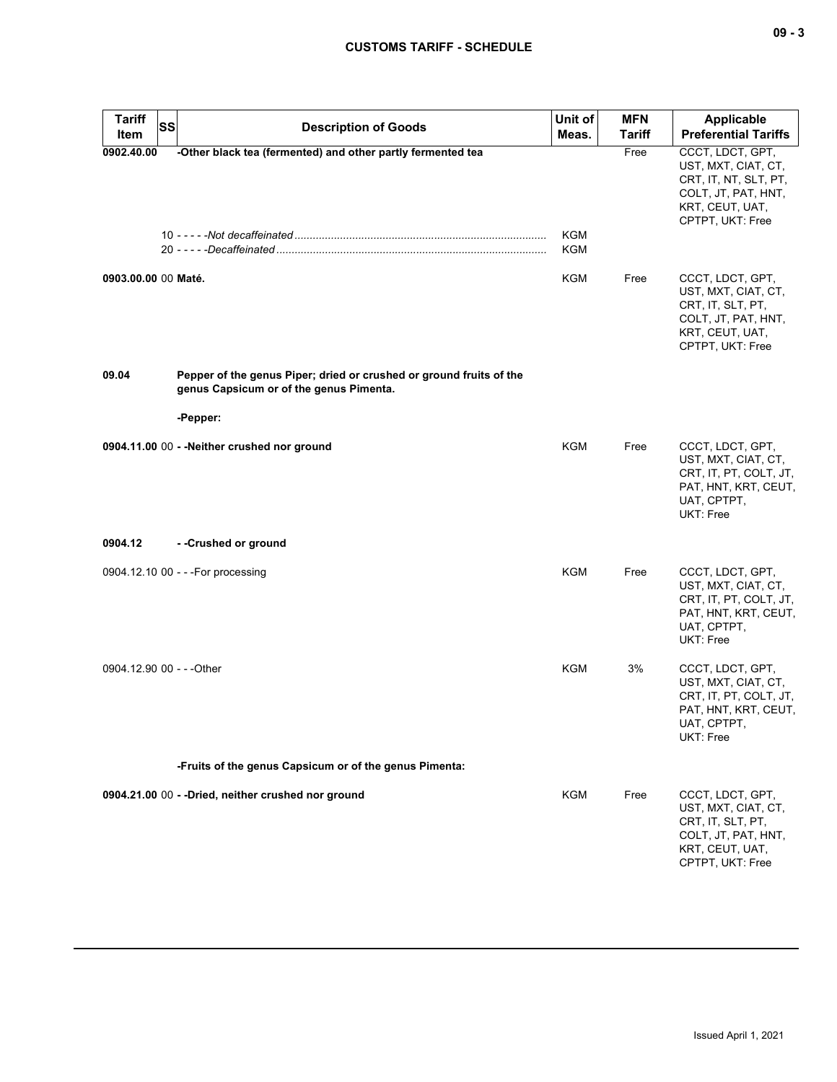| <b>Tariff</b><br><b>SS</b><br>Item | <b>Description of Goods</b>                                                                                                | Unit of<br>Meas.  | <b>MFN</b><br><b>Tariff</b> | Applicable<br><b>Preferential Tariffs</b>                                                                                      |
|------------------------------------|----------------------------------------------------------------------------------------------------------------------------|-------------------|-----------------------------|--------------------------------------------------------------------------------------------------------------------------------|
| 0902.40.00                         | -Other black tea (fermented) and other partly fermented tea                                                                | <b>KGM</b><br>KGM | Free                        | CCCT, LDCT, GPT,<br>UST, MXT, CIAT, CT,<br>CRT, IT, NT, SLT, PT,<br>COLT, JT, PAT, HNT,<br>KRT, CEUT, UAT,<br>CPTPT, UKT: Free |
| 0903.00.00 00 Maté.                |                                                                                                                            | KGM               | Free                        | CCCT, LDCT, GPT,<br>UST, MXT, CIAT, CT,<br>CRT, IT, SLT, PT,<br>COLT, JT, PAT, HNT,<br>KRT, CEUT, UAT,<br>CPTPT, UKT: Free     |
| 09.04                              | Pepper of the genus Piper; dried or crushed or ground fruits of the<br>genus Capsicum or of the genus Pimenta.<br>-Pepper: |                   |                             |                                                                                                                                |
|                                    | 0904.11.00 00 - - Neither crushed nor ground                                                                               | KGM               | Free                        | CCCT, LDCT, GPT,<br>UST, MXT, CIAT, CT,<br>CRT, IT, PT, COLT, JT,<br>PAT, HNT, KRT, CEUT,<br>UAT, CPTPT,<br>UKT: Free          |
| 0904.12                            | --Crushed or ground                                                                                                        |                   |                             |                                                                                                                                |
|                                    | 0904.12.10 00 - - - For processing                                                                                         | <b>KGM</b>        | Free                        | CCCT, LDCT, GPT,<br>UST, MXT, CIAT, CT,<br>CRT, IT, PT, COLT, JT,<br>PAT, HNT, KRT, CEUT,<br>UAT, CPTPT,<br><b>UKT: Free</b>   |
| 0904.12.90 00 - - - Other          |                                                                                                                            | <b>KGM</b>        | 3%                          | CCCT, LDCT, GPT,<br>UST, MXT, CIAT, CT,<br>CRT, IT, PT, COLT, JT,<br>PAT, HNT, KRT, CEUT,<br>UAT, CPTPT,<br>UKT: Free          |
|                                    | -Fruits of the genus Capsicum or of the genus Pimenta:                                                                     |                   |                             |                                                                                                                                |
|                                    | 0904.21.00 00 - - Dried, neither crushed nor ground                                                                        | <b>KGM</b>        | Free                        | CCCT, LDCT, GPT,<br>UST, MXT, CIAT, CT,<br>CRT, IT, SLT, PT,<br>COLT, JT, PAT, HNT,<br>KRT, CEUT, UAT,<br>CPTPT, UKT: Free     |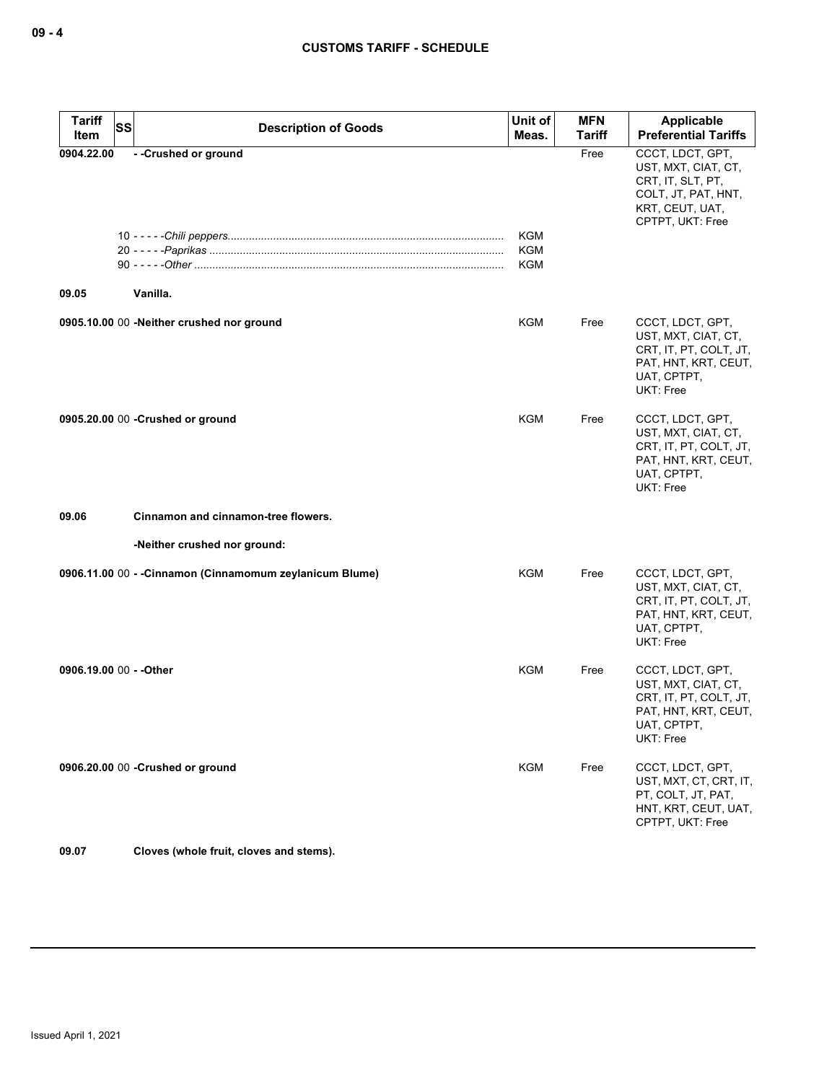| Tariff<br>Item          | <b>SS</b> | <b>Description of Goods</b>                              | Unit of<br>Meas.                | <b>MFN</b><br><b>Tariff</b> | <b>Applicable</b><br><b>Preferential Tariffs</b>                                                                             |
|-------------------------|-----------|----------------------------------------------------------|---------------------------------|-----------------------------|------------------------------------------------------------------------------------------------------------------------------|
| 0904.22.00<br>09.05     |           | --Crushed or ground<br>Vanilla.                          | KGM<br><b>KGM</b><br><b>KGM</b> | Free                        | CCCT, LDCT, GPT,<br>UST, MXT, CIAT, CT,<br>CRT, IT, SLT, PT,<br>COLT, JT, PAT, HNT,<br>KRT, CEUT, UAT,<br>CPTPT, UKT: Free   |
|                         |           |                                                          |                                 |                             |                                                                                                                              |
|                         |           | 0905.10.00 00 -Neither crushed nor ground                | KGM                             | Free                        | CCCT, LDCT, GPT,<br>UST, MXT, CIAT, CT,<br>CRT, IT, PT, COLT, JT,<br>PAT, HNT, KRT, CEUT,<br>UAT, CPTPT,<br><b>UKT: Free</b> |
|                         |           | 0905.20.00 00 - Crushed or ground                        | <b>KGM</b>                      | Free                        | CCCT, LDCT, GPT,<br>UST, MXT, CIAT, CT,<br>CRT, IT, PT, COLT, JT,<br>PAT, HNT, KRT, CEUT,<br>UAT, CPTPT,<br>UKT: Free        |
| 09.06                   |           | Cinnamon and cinnamon-tree flowers.                      |                                 |                             |                                                                                                                              |
|                         |           | -Neither crushed nor ground:                             |                                 |                             |                                                                                                                              |
|                         |           | 0906.11.00 00 - - Cinnamon (Cinnamomum zeylanicum Blume) | <b>KGM</b>                      | Free                        | CCCT, LDCT, GPT,<br>UST, MXT, CIAT, CT,<br>CRT, IT, PT, COLT, JT,<br>PAT, HNT, KRT, CEUT,<br>UAT, CPTPT,<br>UKT: Free        |
| 0906.19.00 00 - - Other |           |                                                          | KGM                             | Free                        | CCCT, LDCT, GPT,<br>UST, MXT, CIAT, CT,<br>CRT, IT, PT, COLT, JT,<br>PAT, HNT, KRT, CEUT,<br>UAT, CPTPT,<br>UKT: Free        |
|                         |           | 0906.20.00 00 - Crushed or ground                        | KGM                             | Free                        | CCCT, LDCT, GPT,<br>UST, MXT, CT, CRT, IT,<br>PT, COLT, JT, PAT,<br>HNT, KRT, CEUT, UAT,<br>CPTPT, UKT: Free                 |

**09.07 Cloves (whole fruit, cloves and stems).**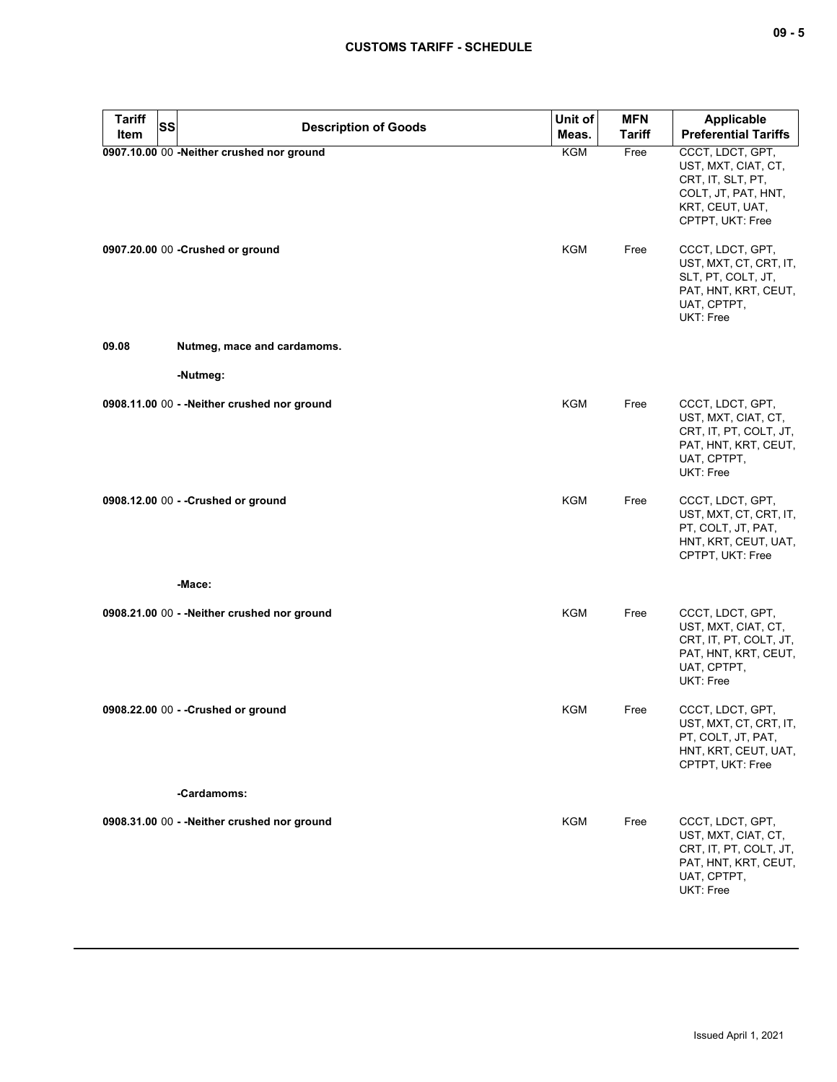| <b>Tariff</b><br><b>SS</b> | <b>Description of Goods</b>                  | Unit of    | <b>MFN</b>    | <b>Applicable</b>                                                                                                          |
|----------------------------|----------------------------------------------|------------|---------------|----------------------------------------------------------------------------------------------------------------------------|
| Item                       |                                              | Meas.      | <b>Tariff</b> | <b>Preferential Tariffs</b>                                                                                                |
|                            | 0907.10.00 00 -Neither crushed nor ground    | KGM        | Free          | CCCT, LDCT, GPT,<br>UST, MXT, CIAT, CT,<br>CRT, IT, SLT, PT,<br>COLT, JT, PAT, HNT,<br>KRT, CEUT, UAT,<br>CPTPT, UKT: Free |
|                            | 0907.20.00 00 - Crushed or ground            | KGM        | Free          | CCCT, LDCT, GPT,<br>UST, MXT, CT, CRT, IT,<br>SLT, PT, COLT, JT,<br>PAT, HNT, KRT, CEUT,<br>UAT, CPTPT,<br>UKT: Free       |
| 09.08                      | Nutmeg, mace and cardamoms.                  |            |               |                                                                                                                            |
|                            | -Nutmeg:                                     |            |               |                                                                                                                            |
|                            | 0908.11.00 00 - - Neither crushed nor ground | <b>KGM</b> | Free          | CCCT, LDCT, GPT,<br>UST, MXT, CIAT, CT,<br>CRT, IT, PT, COLT, JT,<br>PAT, HNT, KRT, CEUT,<br>UAT, CPTPT,<br>UKT: Free      |
|                            | 0908.12.00 00 - - Crushed or ground          | <b>KGM</b> | Free          | CCCT, LDCT, GPT,<br>UST, MXT, CT, CRT, IT,<br>PT, COLT, JT, PAT,<br>HNT, KRT, CEUT, UAT,<br>CPTPT, UKT: Free               |
|                            | -Mace:                                       |            |               |                                                                                                                            |
|                            | 0908.21.00 00 - - Neither crushed nor ground | <b>KGM</b> | Free          | CCCT, LDCT, GPT,<br>UST, MXT, CIAT, CT,<br>CRT, IT, PT, COLT, JT,<br>PAT, HNT, KRT, CEUT,<br>UAT, CPTPT,<br>UKT: Free      |
|                            | 0908.22.00 00 - - Crushed or ground          | KGM        | Free          | CCCT, LDCT, GPT,<br>UST, MXT, CT, CRT, IT,<br>PT, COLT, JT, PAT,<br>HNT, KRT, CEUT, UAT,<br>CPTPT, UKT: Free               |
|                            | -Cardamoms:                                  |            |               |                                                                                                                            |
|                            | 0908.31.00 00 - - Neither crushed nor ground | <b>KGM</b> | Free          | CCCT, LDCT, GPT,<br>UST, MXT, CIAT, CT,<br>CRT, IT, PT, COLT, JT,<br>PAT, HNT, KRT, CEUT,<br>UAT, CPTPT,<br>UKT: Free      |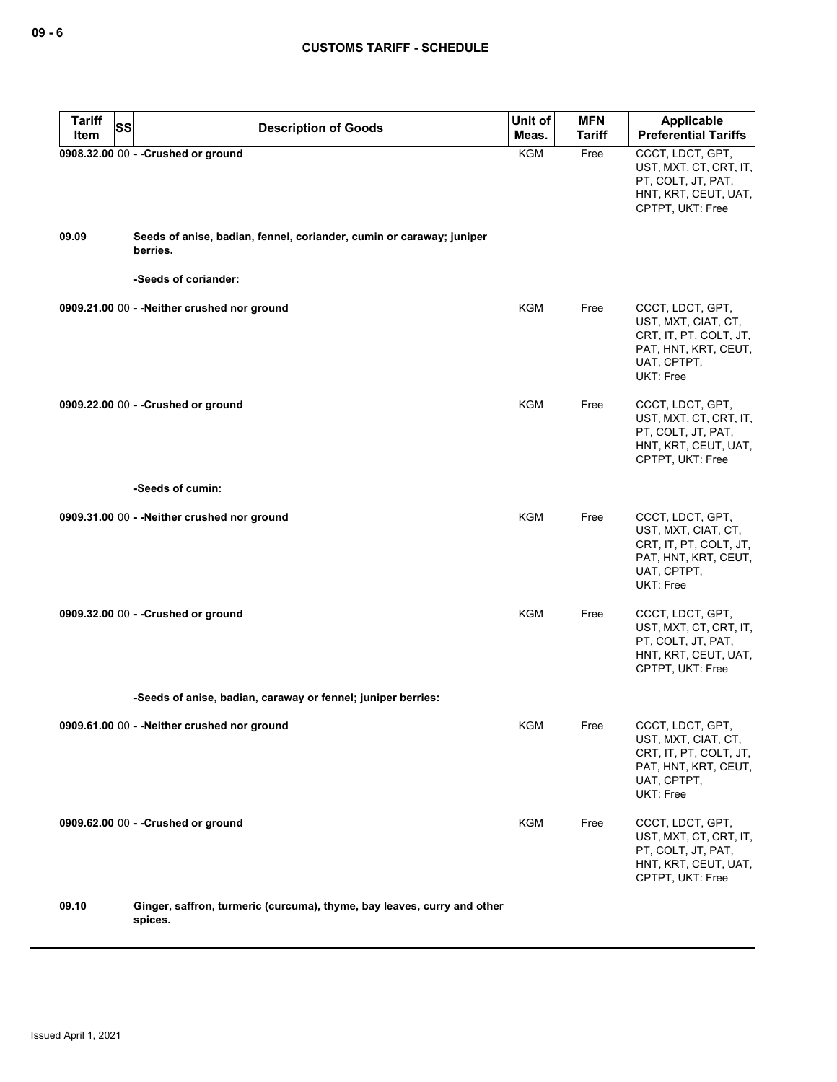| <b>Tariff</b><br><b>SS</b><br>Item | <b>Description of Goods</b>                                                        | Unit of<br>Meas. | <b>MFN</b><br>Tariff | <b>Applicable</b><br><b>Preferential Tariffs</b>                                                                             |
|------------------------------------|------------------------------------------------------------------------------------|------------------|----------------------|------------------------------------------------------------------------------------------------------------------------------|
|                                    | 0908.32.00 00 - - Crushed or ground                                                | <b>KGM</b>       | Free                 | CCCT, LDCT, GPT,<br>UST, MXT, CT, CRT, IT,<br>PT, COLT, JT, PAT,<br>HNT, KRT, CEUT, UAT,<br>CPTPT, UKT: Free                 |
| 09.09                              | Seeds of anise, badian, fennel, coriander, cumin or caraway; juniper<br>berries.   |                  |                      |                                                                                                                              |
|                                    | -Seeds of coriander:                                                               |                  |                      |                                                                                                                              |
|                                    | 0909.21.00 00 - - Neither crushed nor ground                                       | <b>KGM</b>       | Free                 | CCCT, LDCT, GPT,<br>UST, MXT, CIAT, CT,<br>CRT, IT, PT, COLT, JT,<br>PAT, HNT, KRT, CEUT,<br>UAT, CPTPT,<br>UKT: Free        |
|                                    | 0909.22.00 00 - - Crushed or ground                                                | <b>KGM</b>       | Free                 | CCCT, LDCT, GPT,<br>UST, MXT, CT, CRT, IT,<br>PT, COLT, JT, PAT,<br>HNT, KRT, CEUT, UAT,<br>CPTPT, UKT: Free                 |
|                                    | -Seeds of cumin:                                                                   |                  |                      |                                                                                                                              |
|                                    | 0909.31.00 00 - - Neither crushed nor ground                                       | <b>KGM</b>       | Free                 | CCCT, LDCT, GPT,<br>UST, MXT, CIAT, CT,<br>CRT, IT, PT, COLT, JT,<br>PAT, HNT, KRT, CEUT,<br>UAT, CPTPT,<br>UKT: Free        |
|                                    | 0909.32.00 00 - - Crushed or ground                                                | <b>KGM</b>       | Free                 | CCCT, LDCT, GPT,<br>UST, MXT, CT, CRT, IT,<br>PT, COLT, JT, PAT,<br>HNT, KRT, CEUT, UAT,<br>CPTPT, UKT: Free                 |
|                                    | -Seeds of anise, badian, caraway or fennel; juniper berries:                       |                  |                      |                                                                                                                              |
|                                    | 0909.61.00 00 - - Neither crushed nor ground                                       | <b>KGM</b>       | Free                 | CCCT, LDCT, GPT,<br>UST, MXT, CIAT, CT,<br>CRT, IT, PT, COLT, JT,<br>PAT, HNT, KRT, CEUT,<br>UAT, CPTPT,<br><b>UKT: Free</b> |
|                                    | 0909.62.00 00 - - Crushed or ground                                                | <b>KGM</b>       | Free                 | CCCT, LDCT, GPT,<br>UST, MXT, CT, CRT, IT,<br>PT, COLT, JT, PAT,<br>HNT, KRT, CEUT, UAT,<br>CPTPT, UKT: Free                 |
| 09.10                              | Ginger, saffron, turmeric (curcuma), thyme, bay leaves, curry and other<br>spices. |                  |                      |                                                                                                                              |